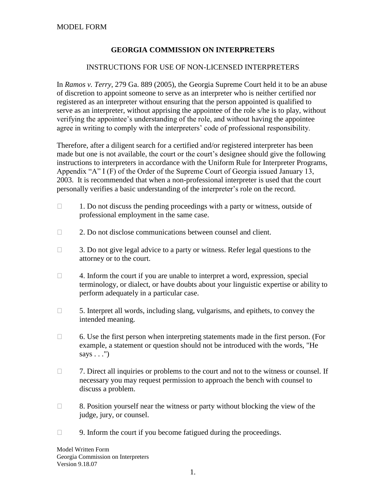## **GEORGIA COMMISSION ON INTERPRETERS**

## INSTRUCTIONS FOR USE OF NON-LICENSED INTERPRETERS

In *Ramos v. Terry*, 279 Ga. 889 (2005), the Georgia Supreme Court held it to be an abuse of discretion to appoint someone to serve as an interpreter who is neither certified nor registered as an interpreter without ensuring that the person appointed is qualified to serve as an interpreter, without apprising the appointee of the role s/he is to play, without verifying the appointee's understanding of the role, and without having the appointee agree in writing to comply with the interpreters' code of professional responsibility.

Therefore, after a diligent search for a certified and/or registered interpreter has been made but one is not available, the court or the court's designee should give the following instructions to interpreters in accordance with the Uniform Rule for Interpreter Programs, Appendix "A" I (F) of the Order of the Supreme Court of Georgia issued January 13, 2003. It is recommended that when a non-professional interpreter is used that the court personally verifies a basic understanding of the interpreter's role on the record.

- $\Box$  1. Do not discuss the pending proceedings with a party or witness, outside of professional employment in the same case.
- $\Box$  2. Do not disclose communications between counsel and client.
- $\Box$  3. Do not give legal advice to a party or witness. Refer legal questions to the attorney or to the court.
- $\Box$  4. Inform the court if you are unable to interpret a word, expression, special terminology, or dialect, or have doubts about your linguistic expertise or ability to perform adequately in a particular case.
- $\Box$  5. Interpret all words, including slang, vulgarisms, and epithets, to convey the intended meaning.
- $\Box$  6. Use the first person when interpreting statements made in the first person. (For example, a statement or question should not be introduced with the words, "He says  $\dots$ ")
- $\Box$  7. Direct all inquiries or problems to the court and not to the witness or counsel. If necessary you may request permission to approach the bench with counsel to discuss a problem.
- $\Box$  8. Position yourself near the witness or party without blocking the view of the judge, jury, or counsel.
- $\Box$  9. Inform the court if you become fatigued during the proceedings.

Model Written Form Georgia Commission on Interpreters Version 9.18.07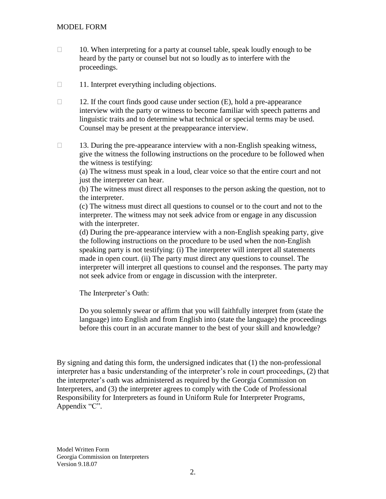- $\Box$  10. When interpreting for a party at counsel table, speak loudly enough to be heard by the party or counsel but not so loudly as to interfere with the proceedings.
- $\Box$  11. Interpret everything including objections.
- $\Box$  12. If the court finds good cause under section (E), hold a pre-appearance interview with the party or witness to become familiar with speech patterns and linguistic traits and to determine what technical or special terms may be used. Counsel may be present at the preappearance interview.
- $\Box$  13. During the pre-appearance interview with a non-English speaking witness, give the witness the following instructions on the procedure to be followed when the witness is testifying:

(a) The witness must speak in a loud, clear voice so that the entire court and not just the interpreter can hear.

(b) The witness must direct all responses to the person asking the question, not to the interpreter.

(c) The witness must direct all questions to counsel or to the court and not to the interpreter. The witness may not seek advice from or engage in any discussion with the interpreter.

(d) During the pre-appearance interview with a non-English speaking party, give the following instructions on the procedure to be used when the non-English speaking party is not testifying: (i) The interpreter will interpret all statements made in open court. (ii) The party must direct any questions to counsel. The interpreter will interpret all questions to counsel and the responses. The party may not seek advice from or engage in discussion with the interpreter.

The Interpreter's Oath:

Do you solemnly swear or affirm that you will faithfully interpret from (state the language) into English and from English into (state the language) the proceedings before this court in an accurate manner to the best of your skill and knowledge?

By signing and dating this form, the undersigned indicates that (1) the non-professional interpreter has a basic understanding of the interpreter's role in court proceedings, (2) that the interpreter's oath was administered as required by the Georgia Commission on Interpreters, and (3) the interpreter agrees to comply with the Code of Professional Responsibility for Interpreters as found in Uniform Rule for Interpreter Programs, Appendix "C".